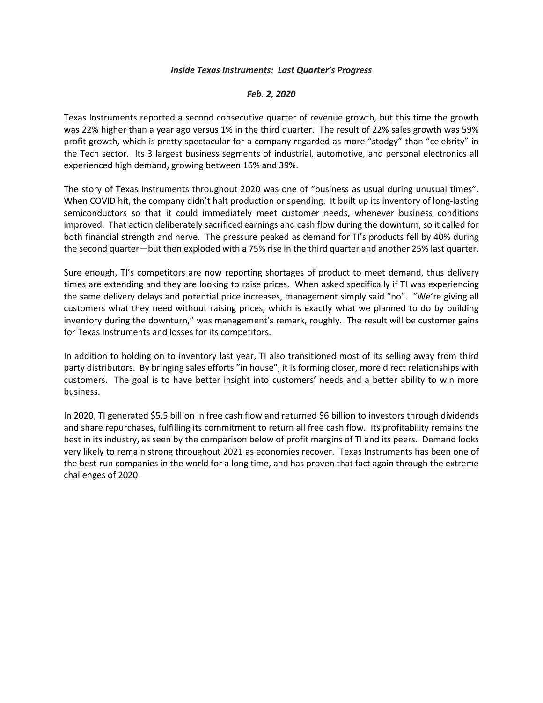## *Inside Texas Instruments: Last Quarter's Progress*

## *Feb. 2, 2020*

Texas Instruments reported a second consecutive quarter of revenue growth, but this time the growth was 22% higher than a year ago versus 1% in the third quarter. The result of 22% sales growth was 59% profit growth, which is pretty spectacular for a company regarded as more "stodgy" than "celebrity" in the Tech sector. Its 3 largest business segments of industrial, automotive, and personal electronics all experienced high demand, growing between 16% and 39%.

The story of Texas Instruments throughout 2020 was one of "business as usual during unusual times". When COVID hit, the company didn't halt production or spending. It built up its inventory of long-lasting semiconductors so that it could immediately meet customer needs, whenever business conditions improved. That action deliberately sacrificed earnings and cash flow during the downturn, so it called for both financial strength and nerve. The pressure peaked as demand for TI's products fell by 40% during the second quarter—but then exploded with a 75% rise in the third quarter and another 25% last quarter.

Sure enough, TI's competitors are now reporting shortages of product to meet demand, thus delivery times are extending and they are looking to raise prices. When asked specifically if TI was experiencing the same delivery delays and potential price increases, management simply said "no". "We're giving all customers what they need without raising prices, which is exactly what we planned to do by building inventory during the downturn," was management's remark, roughly. The result will be customer gains for Texas Instruments and losses for its competitors.

In addition to holding on to inventory last year, TI also transitioned most of its selling away from third party distributors. By bringing sales efforts "in house", it is forming closer, more direct relationships with customers. The goal is to have better insight into customers' needs and a better ability to win more business.

In 2020, TI generated \$5.5 billion in free cash flow and returned \$6 billion to investors through dividends and share repurchases, fulfilling its commitment to return all free cash flow. Its profitability remains the best in its industry, as seen by the comparison below of profit margins of TI and its peers. Demand looks very likely to remain strong throughout 2021 as economies recover. Texas Instruments has been one of the best-run companies in the world for a long time, and has proven that fact again through the extreme challenges of 2020.